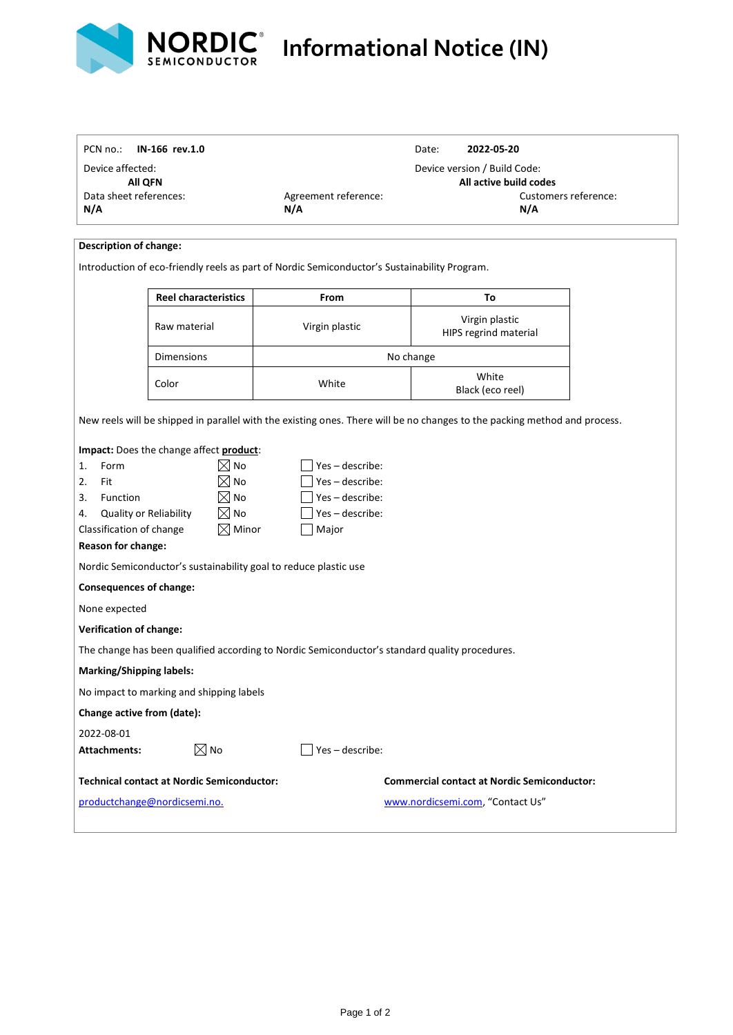

ľ

## **Informational Notice (IN)**

| PCN no.:                                                                                                                                                  | IN-166 rev.1.0                                                                                                                              |                                                          | 2022-05-20<br>Date:<br>Device version / Build Code:                                    |  |  |
|-----------------------------------------------------------------------------------------------------------------------------------------------------------|---------------------------------------------------------------------------------------------------------------------------------------------|----------------------------------------------------------|----------------------------------------------------------------------------------------|--|--|
| Device affected:                                                                                                                                          |                                                                                                                                             |                                                          |                                                                                        |  |  |
| <b>All QFN</b><br>Data sheet references:                                                                                                                  |                                                                                                                                             | Agreement reference:                                     | All active build codes<br>Customers reference:                                         |  |  |
| N/A                                                                                                                                                       |                                                                                                                                             | N/A                                                      | N/A                                                                                    |  |  |
|                                                                                                                                                           |                                                                                                                                             |                                                          |                                                                                        |  |  |
| <b>Description of change:</b>                                                                                                                             |                                                                                                                                             |                                                          |                                                                                        |  |  |
|                                                                                                                                                           | Introduction of eco-friendly reels as part of Nordic Semiconductor's Sustainability Program.                                                |                                                          |                                                                                        |  |  |
|                                                                                                                                                           |                                                                                                                                             |                                                          |                                                                                        |  |  |
|                                                                                                                                                           | <b>Reel characteristics</b>                                                                                                                 | From                                                     | To                                                                                     |  |  |
| Raw material                                                                                                                                              |                                                                                                                                             | Virgin plastic                                           | Virgin plastic<br>HIPS regrind material                                                |  |  |
| <b>Dimensions</b>                                                                                                                                         |                                                                                                                                             |                                                          | No change                                                                              |  |  |
| Color                                                                                                                                                     |                                                                                                                                             | White                                                    | White<br>Black (eco reel)                                                              |  |  |
|                                                                                                                                                           |                                                                                                                                             |                                                          |                                                                                        |  |  |
| 2.<br>3.<br>Function<br>Quality or Reliability<br>4.<br>Classification of change<br>Reason for change:<br><b>Consequences of change:</b><br>None expected | $\boxtimes$ No<br>$\boxtimes$ No<br>$\boxtimes$ No<br>$\boxtimes$ Minor<br>Nordic Semiconductor's sustainability goal to reduce plastic use | Yes-describe:<br>Yes-describe:<br>Yes-describe:<br>Major |                                                                                        |  |  |
| <b>Verification of change:</b>                                                                                                                            |                                                                                                                                             |                                                          |                                                                                        |  |  |
|                                                                                                                                                           | The change has been qualified according to Nordic Semiconductor's standard quality procedures.                                              |                                                          |                                                                                        |  |  |
| <b>Marking/Shipping labels:</b>                                                                                                                           |                                                                                                                                             |                                                          |                                                                                        |  |  |
|                                                                                                                                                           | No impact to marking and shipping labels                                                                                                    |                                                          |                                                                                        |  |  |
| Change active from (date):                                                                                                                                |                                                                                                                                             |                                                          |                                                                                        |  |  |
| 2022-08-01                                                                                                                                                |                                                                                                                                             |                                                          |                                                                                        |  |  |
| <b>Attachments:</b>                                                                                                                                       | $\boxtimes$ No                                                                                                                              | $\vert$ Yes – describe:                                  |                                                                                        |  |  |
|                                                                                                                                                           |                                                                                                                                             |                                                          |                                                                                        |  |  |
|                                                                                                                                                           |                                                                                                                                             |                                                          |                                                                                        |  |  |
|                                                                                                                                                           | <b>Technical contact at Nordic Semiconductor:</b><br>productchange@nordicsemi.no.                                                           |                                                          | <b>Commercial contact at Nordic Semiconductor:</b><br>www.nordicsemi.com, "Contact Us" |  |  |